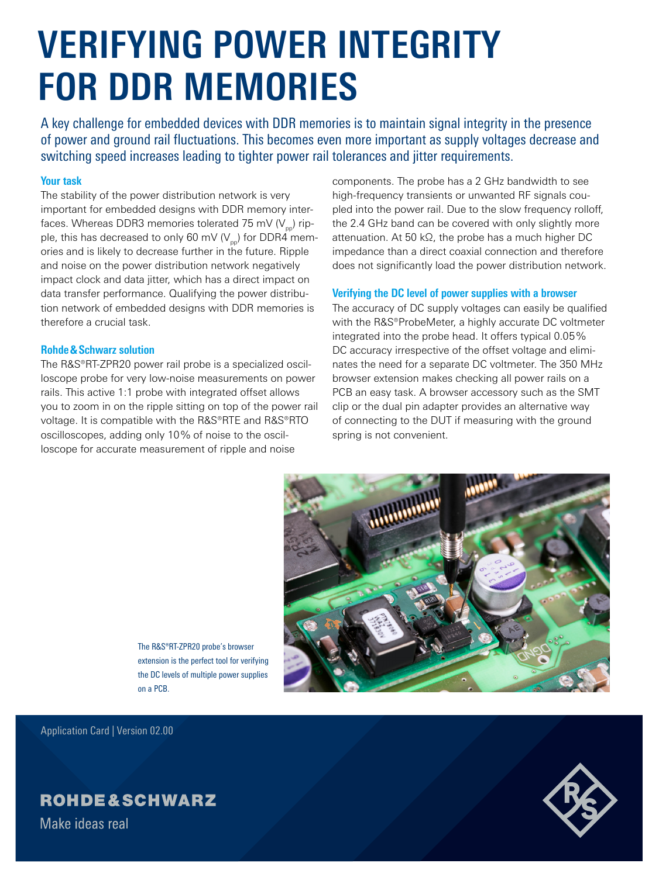# **VERIFYING POWER INTEGRITY FOR DDR MEMORIES**

A key challenge for embedded devices with DDR memories is to maintain signal integrity in the presence of power and ground rail fluctuations. This becomes even more important as supply voltages decrease and switching speed increases leading to tighter power rail tolerances and jitter requirements.

### **Your task**

The stability of the power distribution network is very important for embedded designs with DDR memory interfaces. Whereas DDR3 memories tolerated 75 mV ( $V_{\text{p}}$ ) ripple, this has decreased to only 60 mV ( $V_{\text{pp}}$ ) for DDR4 memories and is likely to decrease further in the future. Ripple and noise on the power distribution network negatively impact clock and data jitter, which has a direct impact on data transfer performance. Qualifying the power distribution network of embedded designs with DDR memories is therefore a crucial task.

#### **Rohde & Schwarz solution**

The R&S®RT-ZPR20 power rail probe is a specialized oscilloscope probe for very low-noise measurements on power rails. This active 1:1 probe with integrated offset allows you to zoom in on the ripple sitting on top of the power rail voltage. It is compatible with the R&S®RTE and R&S®RTO oscilloscopes, adding only 10% of noise to the oscilloscope for accurate measurement of ripple and noise

components. The probe has a 2 GHz bandwidth to see high-frequency transients or unwanted RF signals coupled into the power rail. Due to the slow frequency rolloff, the 2.4 GHz band can be covered with only slightly more attenuation. At 50 kΩ, the probe has a much higher DC impedance than a direct coaxial connection and therefore does not significantly load the power distribution network.

#### **Verifying the DC level of power supplies with a browser**

The accuracy of DC supply voltages can easily be qualified with the R&S®ProbeMeter, a highly accurate DC voltmeter integrated into the probe head. It offers typical 0.05% DC accuracy irrespective of the offset voltage and eliminates the need for a separate DC voltmeter. The 350 MHz browser extension makes checking all power rails on a PCB an easy task. A browser accessory such as the SMT clip or the dual pin adapter provides an alternative way of connecting to the DUT if measuring with the ground spring is not convenient.



The R&S®RT-ZPR20 probe's browser extension is the perfect tool for verifying the DC levels of multiple power supplies on a PCB.

Application Card | Version 02.00

## **ROHDE&SCHWARZ**

Make ideas real